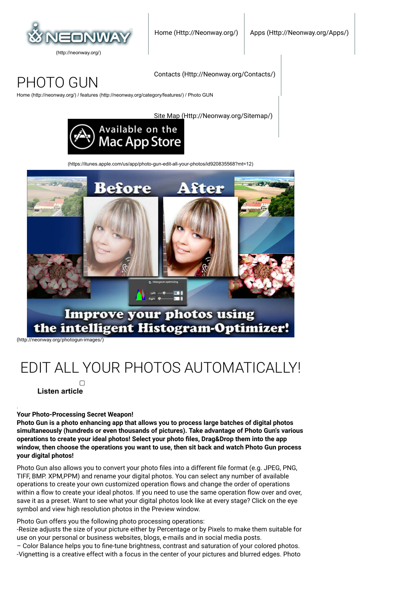

## PHOTO GUN

[Home \(http://neonway.org/\)](http://neonway.org/) / [features \(http://neonway.org/category/features/\)](http://neonway.org/category/features/) / Photo GUN

[Site Map \(Http://Neonway.org/Sitemap/\)](http://neonway.org/sitemap/)

[Contacts \(Http://Neonway.org/Contacts/\)](http://neonway.org/contacts/)



[\(https://itunes.apple.com/us/app/photo-gun-edit-all-your-photos/id920835568?mt=12\)](https://itunes.apple.com/us/app/photo-gun-edit-all-your-photos/id920835568?mt=12)



[\(http://neonway.org/photogun-images/\)](http://neonway.org/photogun-images/)

# EDIT ALL YOUR PHOTOS AUTOMATICALLY!

 **Listen article**

.

**Your Photo-Processing Secret Weapon!**

**Photo Gun is a photo enhancing app that allows you to process large batches of digital photos simultaneously (hundreds or even thousands of pictures). Take advantage of Photo Gun's various** operations to create your ideal photos! Select your photo files, Drag&Drop them into the app **window, then choose the operations you want to use, then sit back and watch Photo Gun process your digital photos!**

Photo Gun also allows you to convert your photo files into a different file format (e.g. JPEG, PNG, TIFF, BMP. XPM,PPM) and rename your digital photos. You can select any number of available operations to create your own customized operation Iows and change the order of operations within a flow to create your ideal photos. If you need to use the same operation flow over and over, save it as a preset. Want to see what your digital photos look like at every stage? Click on the eye symbol and view high resolution photos in the Preview window.

Photo Gun offers you the following photo processing operations:

-Resize adjusts the size of your picture either by Percentage or by Pixels to make them suitable for use on your personal or business websites, blogs, e-mails and in social media posts.

– Color Balance helps you to fine-tune brightness, contrast and saturation of your colored photos. -Vignetting is a creative effect with a focus in the center of your pictures and blurred edges. Photo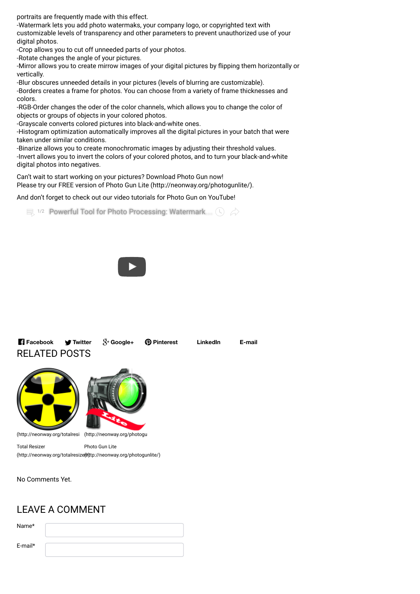portraits are frequently made with this effect.

-Watermark lets you add photo watermaks, your company logo, or copyrighted text with customizable levels of transparency and other parameters to prevent unauthorized use of your digital photos.

-Crop allows you to cut off unneeded parts of your photos.

-Rotate changes the angle of your pictures.

-Mirror allows you to create mirrow images of your digital pictures by Iipping them horizontally or vertically.

-Blur obscures unneeded details in your pictures (levels of blurring are customizable).

-Borders creates a frame for photos. You can choose from a variety of frame thicknesses and colors.

-RGB-Order changes the oder of the color channels, which allows you to change the color of objects or groups of objects in your colored photos.

-Grayscale converts colored pictures into black-and-white ones.

-Histogram optimization automatically improves all the digital pictures in your batch that were taken under similar conditions.

-Binarize allows you to create monochromatic images by adjusting their threshold values. -Invert allows you to invert the colors of your colored photos, and to turn your black-and-white digital photos into negatives.

Can't wait to start working on your pictures? Download Photo Gun now! Please try our FREE version of [Photo Gun Lite \(http://neonway.org/photogunlite/\)](http://neonway.org/photogunlite/).

And don't forget to check out our video tutorials for Photo Gun on YouTube!

 $\equiv$  1/2 [Powerful Tool for Photo Processing: Watermark](https://www.youtube.com/watch?list=PLuaVbnfoG3qeibrrjXNuNQOgb_MkInjRN&v=T3wWvjubNDM)  $\langle \cdot \rangle \langle \cdot \rangle$ 



RELATED POSTS **Facebook Twitter Google+ Pinterest LinkedIn E-mail**



Photo Gun Lite (http://neonway.org/totalresi (http://neonway.org/photogu

Total Resizer (http://neonway.org/totalresize(th)tp://neonway.org/photogunlite/)

No Comments Yet.

## LEAVE A COMMENT

Name\*

E-mail\*